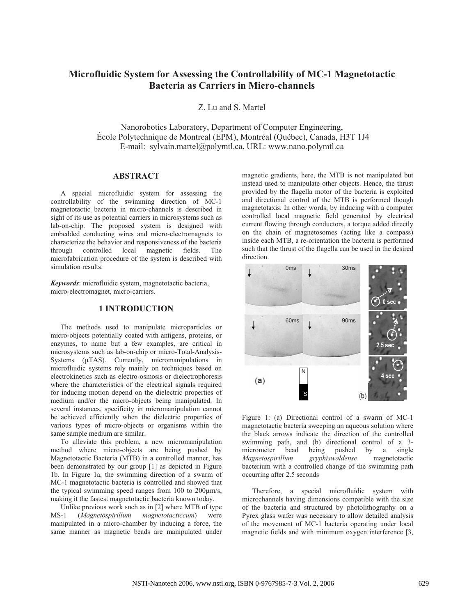# **Microfluidic System for Assessing the Controllability of MC-1 Magnetotactic Bacteria as Carriers in Micro-channels**

Z. Lu and S. Martel

Nanorobotics Laboratory, Department of Computer Engineering, École Polytechnique de Montreal (EPM), Montréal (Québec), Canada, H3T 1J4 E-mail: sylvain.martel@polymtl.ca, URL: www.nano.polymtl.ca

# **ABSTRACT**

A special microfluidic system for assessing the controllability of the swimming direction of MC-1 magnetotactic bacteria in micro-channels is described in sight of its use as potential carriers in microsystems such as lab-on-chip. The proposed system is designed with embedded conducting wires and micro-electromagnets to characterize the behavior and responsiveness of the bacteria through controlled local magnetic fields. The microfabrication procedure of the system is described with simulation results.

*Keywords*: microfluidic system, magnetotactic bacteria, micro-electromagnet, micro-carriers.

## **1 INTRODUCTION**

The methods used to manipulate microparticles or micro-objects potentially coated with antigens, proteins, or enzymes, to name but a few examples, are critical in microsystems such as lab-on-chip or micro-Total-Analysis-Systems ( $\mu$ TAS). Currently, micromanipulations in microfluidic systems rely mainly on techniques based on electrokinetics such as electro-osmosis or dielectrophoresis where the characteristics of the electrical signals required for inducing motion depend on the dielectric properties of medium and/or the micro-objects being manipulated. In several instances, specificity in micromanipulation cannot be achieved efficiently when the dielectric properties of various types of micro-objects or organisms within the same sample medium are similar.

To alleviate this problem, a new micromanipulation method where micro-objects are being pushed by Magnetotactic Bacteria (MTB) in a controlled manner, has been demonstrated by our group [1] as depicted in Figure 1b. In Figure 1a, the swimming direction of a swarm of MC-1 magnetotactic bacteria is controlled and showed that the typical swimming speed ranges from 100 to  $200 \mu m/s$ , making it the fastest magnetotactic bacteria known today.

Unlike previous work such as in [2] where MTB of type<br>
5-1 (*Magnetospirillum magnetotacticcum*) were MS-1 (*Magnetospirillum magnetotacticcum*) were manipulated in a micro-chamber by inducing a force, the same manner as magnetic beads are manipulated under

magnetic gradients, here, the MTB is not manipulated but instead used to manipulate other objects. Hence, the thrust provided by the flagella motor of the bacteria is exploited and directional control of the MTB is performed though magnetotaxis. In other words, by inducing with a computer controlled local magnetic field generated by electrical current flowing through conductors, a torque added directly on the chain of magnetosomes (acting like a compass) inside each MTB, a re-orientation the bacteria is performed such that the thrust of the flagella can be used in the desired direction.



Figure 1: (a) Directional control of a swarm of MC-1 magnetotactic bacteria sweeping an aqueous solution where the black arrows indicate the direction of the controlled swimming path, and (b) directional control of a 3-<br>micrometer bead being pushed by a single micrometer bead being pushed by a<br> *Magnetospirillum gryphiswaldense* magne *Magnetospirillum gryphiswaldense* magnetotactic bacterium with a controlled change of the swimming path occurring after 2.5 seconds

Therefore, a special microfluidic system with microchannels having dimensions compatible with the size of the bacteria and structured by photolithography on a Pyrex glass wafer was necessary to allow detailed analysis of the movement of MC-1 bacteria operating under local magnetic fields and with minimum oxygen interference [3,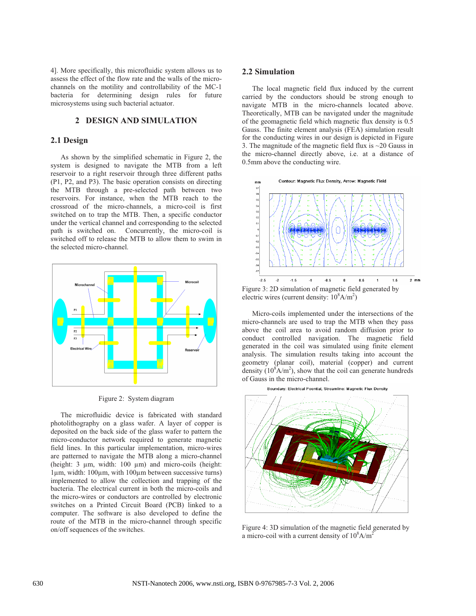4]. More specifically, this microfluidic system allows us to assess the effect of the flow rate and the walls of the microchannels on the motility and controllability of the MC-1 bacteria for determining design rules for future microsystems using such bacterial actuator.

## **2 DESIGN AND SIMULATION**

### **2.1 Design**

As shown by the simplified schematic in Figure 2, the system is designed to navigate the MTB from a left reservoir to a right reservoir through three different paths (P1, P2, and P3). The basic operation consists on directing the MTB through a pre-selected path between two reservoirs. For instance, when the MTB reach to the crossroad of the micro-channels, a micro-coil is first switched on to trap the MTB. Then, a specific conductor under the vertical channel and corresponding to the selected path is switched on. Concurrently, the micro-coil is switched off to release the MTB to allow them to swim in the selected micro-channel.



Figure 2: System diagram

The microfluidic device is fabricated with standard photolithography on a glass wafer. A layer of copper is deposited on the back side of the glass wafer to pattern the micro-conductor network required to generate magnetic field lines. In this particular implementation, micro-wires are patterned to navigate the MTB along a micro-channel (height:  $3 \mu m$ , width:  $100 \mu m$ ) and micro-coils (height: 1µm, width: 100µm, with 100µm between successive turns) implemented to allow the collection and trapping of the bacteria. The electrical current in both the micro-coils and the micro-wires or conductors are controlled by electronic switches on a Printed Circuit Board (PCB) linked to a computer. The software is also developed to define the route of the MTB in the micro-channel through specific on/off sequences of the switches.

#### **2.2 Simulation**

The local magnetic field flux induced by the current carried by the conductors should be strong enough to navigate MTB in the micro-channels located above. Theoretically, MTB can be navigated under the magnitude of the geomagnetic field which magnetic flux density is 0.5 Gauss. The finite element analysis (FEA) simulation result for the conducting wires in our design is depicted in Figure 3. The magnitude of the magnetic field flux is  $\sim$  20 Gauss in the micro-channel directly above, i.e. at a distance of 0.5mm above the conducting wire.



Figure 3: 2D simulation of magnetic field generated by electric wires (current density:  $10^8$ A/m<sup>2</sup>)

Micro-coils implemented under the intersections of the micro-channels are used to trap the MTB when they pass above the coil area to avoid random diffusion prior to conduct controlled navigation. The magnetic field generated in the coil was simulated using finite element analysis. The simulation results taking into account the geometry (planar coil), material (copper) and current density  $(10^8 A/m^2)$ , show that the coil can generate hundreds of Gauss in the micro-channel.





Figure 4: 3D simulation of the magnetic field generated by a micro-coil with a current density of  $10^8$ A/m<sup>2</sup>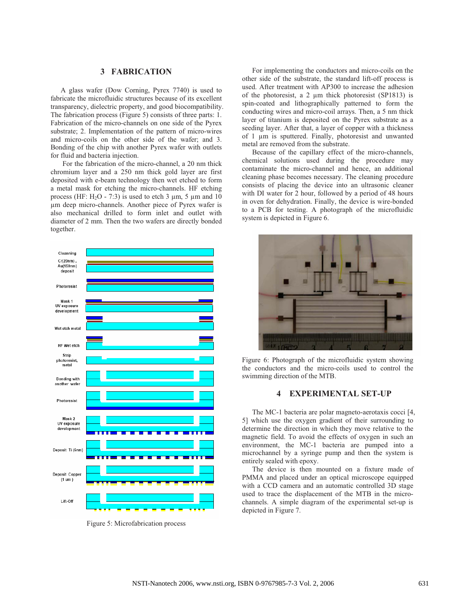### **3 FABRICATION**

A glass wafer (Dow Corning, Pyrex 7740) is used to fabricate the microfluidic structures because of its excellent transparency, dielectric property, and good biocompatibility. The fabrication process (Figure 5) consists of three parts: 1. Fabrication of the micro-channels on one side of the Pyrex substrate; 2. Implementation of the pattern of micro-wires and micro-coils on the other side of the wafer; and 3. Bonding of the chip with another Pyrex wafer with outlets for fluid and bacteria injection.

 For the fabrication of the micro-channel, a 20 nm thick chromium layer and a 250 nm thick gold layer are first deposited with e-beam technology then wet etched to form a metal mask for etching the micro-channels. HF etching process (HF:  $H<sub>2</sub>O - 7:3$ ) is used to etch 3  $\mu$ m, 5  $\mu$ m and 10 µm deep micro-channels. Another piece of Pyrex wafer is also mechanical drilled to form inlet and outlet with diameter of 2 mm. Then the two wafers are directly bonded together.



Figure 5: Microfabrication process

For implementing the conductors and micro-coils on the other side of the substrate, the standard lift-off process is used. After treatment with AP300 to increase the adhesion of the photoresist, a 2  $\mu$ m thick photoresist (SP1813) is spin-coated and lithographically patterned to form the conducting wires and micro-coil arrays. Then, a 5 nm thick layer of titanium is deposited on the Pyrex substrate as a seeding layer. After that, a layer of copper with a thickness of 1 µm is sputtered. Finally, photoresist and unwanted metal are removed from the substrate.

Because of the capillary effect of the micro-channels, chemical solutions used during the procedure may contaminate the micro-channel and hence, an additional cleaning phase becomes necessary. The cleaning procedure consists of placing the device into an ultrasonic cleaner with DI water for 2 hour, followed by a period of 48 hours in oven for dehydration. Finally, the device is wire-bonded to a PCB for testing. A photograph of the microfluidic system is depicted in Figure 6.



Figure 6: Photograph of the microfluidic system showing the conductors and the micro-coils used to control the swimming direction of the MTB.

#### **4 EXPERIMENTAL SET-UP**

The MC-1 bacteria are polar magneto-aerotaxis cocci [4, 5] which use the oxygen gradient of their surrounding to determine the direction in which they move relative to the magnetic field. To avoid the effects of oxygen in such an environment, the MC-1 bacteria are pumped into a microchannel by a syringe pump and then the system is entirely sealed with epoxy.

The device is then mounted on a fixture made of PMMA and placed under an optical microscope equipped with a CCD camera and an automatic controlled 3D stage used to trace the displacement of the MTB in the microchannels. A simple diagram of the experimental set-up is depicted in Figure 7.